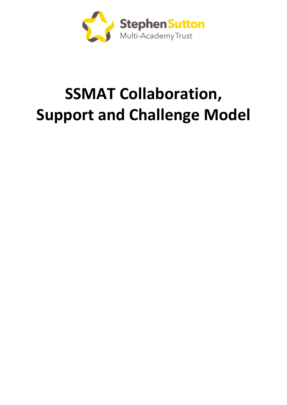

# **SSMAT Collaboration, Support and Challenge Model**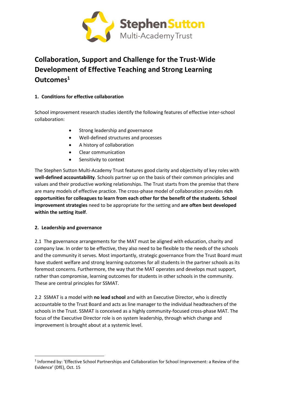

## **Collaboration, Support and Challenge for the Trust-Wide Development of Effective Teaching and Strong Learning Outcomes<sup>1</sup>**

### **1. Conditions for effective collaboration**

School improvement research studies identify the following features of effective inter-school collaboration:

- Strong leadership and governance
- Well-defined structures and processes
- A history of collaboration
- Clear communication
- Sensitivity to context

The Stephen Sutton Multi-Academy Trust features good clarity and objectivity of key roles with **well-defined accountability**. Schools partner up on the basis of their common principles and values and their productive working relationships. The Trust starts from the premise that there are many models of effective practice. The cross-phase model of collaboration provides **rich opportunities for colleagues to learn from each other for the benefit of the students**. **School improvement strategies** need to be appropriate for the setting and **are often best developed within the setting itself**.

#### **2. Leadership and governance**

2.1 The governance arrangements for the MAT must be aligned with education, charity and company law. In order to be effective, they also need to be flexible to the needs of the schools and the community it serves. Most importantly, strategic governance from the Trust Board must have student welfare and strong learning outcomes for all students in the partner schools as its foremost concerns. Furthermore, the way that the MAT operates and develops must support, rather than compromise, learning outcomes for students in other schools in the community. These are central principles for SSMAT.

2.2 SSMAT is a model with **no lead school** and with an Executive Director, who is directly accountable to the Trust Board and acts as line manager to the individual headteachers of the schools in the Trust. SSMAT is conceived as a highly community-focused cross-phase MAT. The focus of the Executive Director role is on system leadership, through which change and improvement is brought about at a systemic level.

**<sup>.</sup>** <sup>1</sup> Informed by: 'Effective School Partnerships and Collaboration for School Improvement: a Review of the Evidence' (DfE), Oct. 15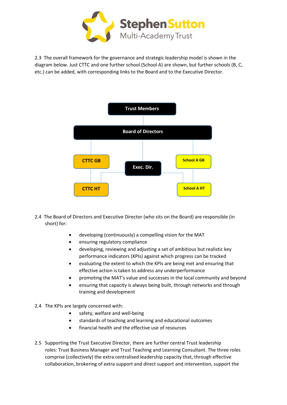

2.3 The overall framework for the governance and strategic leadership model is shown in the diagram below. Just CTTC and one further school (School A) are shown, but further schools (B, C, etc.) can be added, with corresponding links to the Board and to the Executive Director.



- 2.4 The Board of Directors and Executive Director (who sits on the Board) are responsible (in short) for:
	- developing (continuously) a compelling vision for the MAT
	- ensuring regulatory compliance
	- developing, reviewing and adjusting a set of ambitious but realistic key performance indicators (KPIs) against which progress can be tracked
	- evaluating the extent to which the KPIs are being met and ensuring that effective action is taken to address any underperformance
	- promoting the MAT's value and successes in the local community and beyond
	- ensuring that capacity is always being built, through networks and through training and development
- 2.4 The KPIs are largely concerned with:
	- safety, welfare and well-being
	- standards of teaching and learning and educational outcomes
	- financial health and the effective use of resources
- 2.5 Supporting the Trust Executive Director, there are further central Trust leadership roles: Trust Business Manager and Trust Teaching and Learning Consultant. The three roles comprise (collectively) the extra centralised leadership capacity that, through effective collaboration, brokering of extra support and direct support and intervention, support the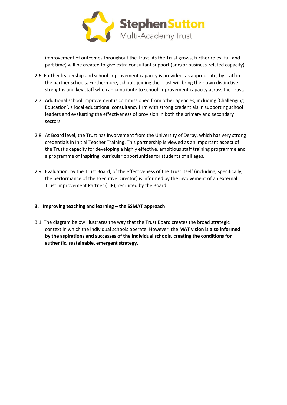

improvement of outcomes throughout the Trust. As the Trust grows, further roles (full and part time) will be created to give extra consultant support (and/or business-related capacity).

- 2.6 Further leadership and school improvement capacity is provided, as appropriate, by staff in the partner schools. Furthermore, schools joining the Trust will bring their own distinctive strengths and key staff who can contribute to school improvement capacity across the Trust.
- 2.7 Additional school improvement is commissioned from other agencies, including 'Challenging Education', a local educational consultancy firm with strong credentials in supporting school leaders and evaluating the effectiveness of provision in both the primary and secondary sectors.
- 2.8 At Board level, the Trust has involvement from the University of Derby, which has very strong credentials in Initial Teacher Training. This partnership is viewed as an important aspect of the Trust's capacity for developing a highly effective, ambitious staff training programme and a programme of inspiring, curricular opportunities for students of all ages.
- 2.9 Evaluation, by the Trust Board, of the effectiveness of the Trust itself (including, specifically, the performance of the Executive Director) is informed by the involvement of an external Trust Improvement Partner (TIP), recruited by the Board.

#### **3. Improving teaching and learning – the SSMAT approach**

3.1 The diagram below illustrates the way that the Trust Board creates the broad strategic context in which the individual schools operate. However, the **MAT vision is also informed by the aspirations and successes of the individual schools, creating the conditions for authentic, sustainable, emergent strategy.**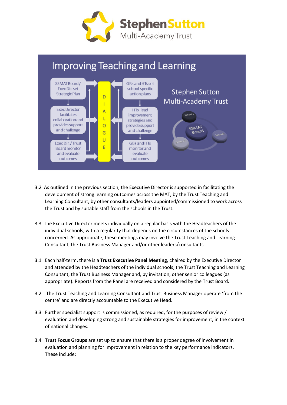



- 3.2 As outlined in the previous section, the Executive Director is supported in facilitating the development of strong learning outcomes across the MAT, by the Trust Teaching and Learning Consultant, by other consultants/leaders appointed/commissioned to work across the Trust and by suitable staff from the schools in the Trust.
- 3.3 The Executive Director meets individually on a regular basis with the Headteachers of the individual schools, with a regularity that depends on the circumstances of the schools concerned. As appropriate, these meetings may involve the Trust Teaching and Learning Consultant, the Trust Business Manager and/or other leaders/consultants.
- 3.1 Each half-term, there is a **Trust Executive Panel Meeting**, chaired by the Executive Director and attended by the Headteachers of the individual schools, the Trust Teaching and Learning Consultant, the Trust Business Manager and, by invitation, other senior colleagues (as appropriate). Reports from the Panel are received and considered by the Trust Board.
- 3.2 The Trust Teaching and Learning Consultant and Trust Business Manager operate 'from the centre' and are directly accountable to the Executive Head.
- 3.3 Further specialist support is commissioned, as required, for the purposes of review / evaluation and developing strong and sustainable strategies for improvement, in the context of national changes.
- 3.4 **Trust Focus Groups** are set up to ensure that there is a proper degree of involvement in evaluation and planning for improvement in relation to the key performance indicators. These include: